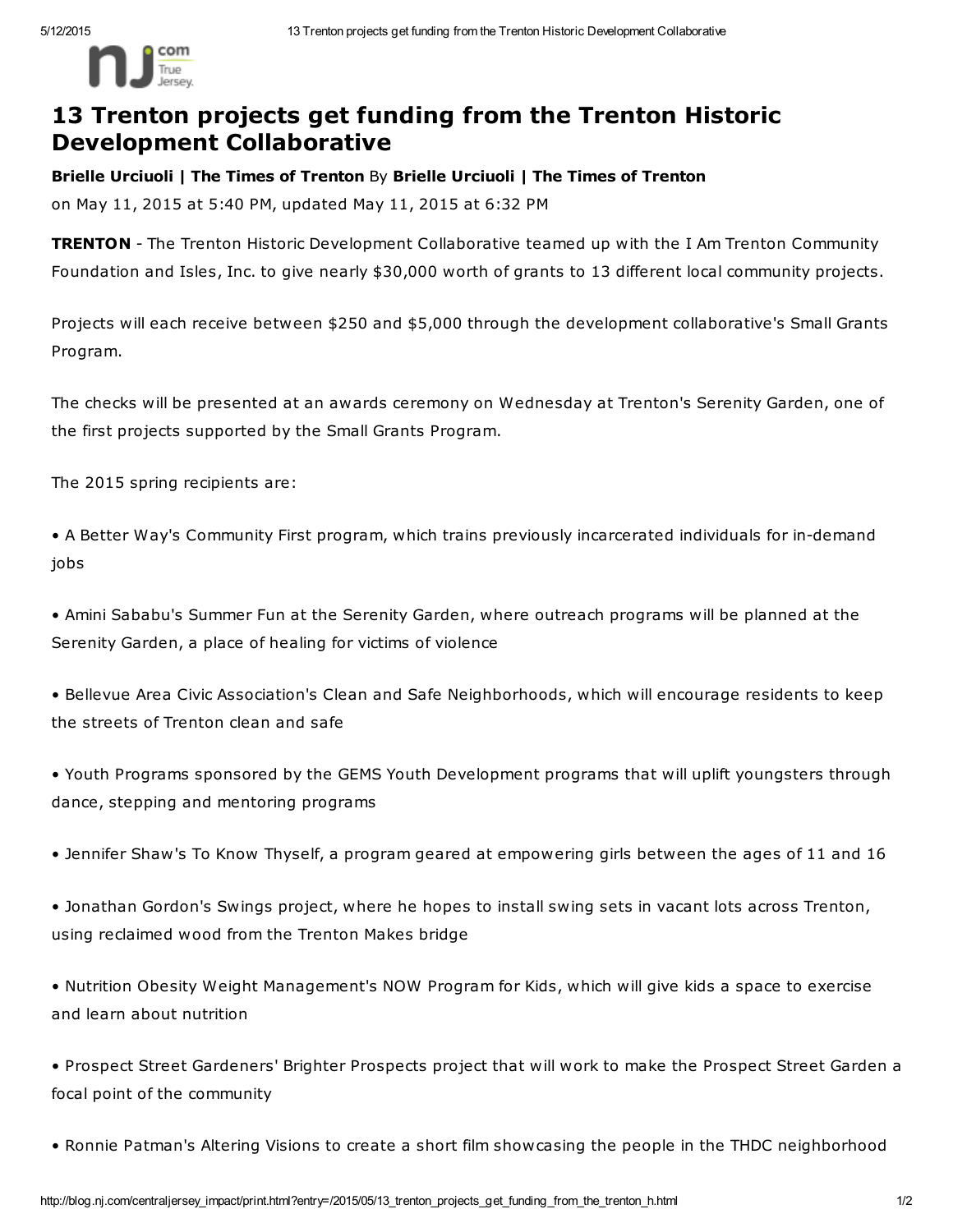

## 13 Trenton projects get funding from the Trenton Historic Development Collaborative

Brielle Urciuoli | The Times of Trenton By Brielle Urciuoli | The Times of Trenton on May 11, 2015 at 5:40 PM, updated May 11, 2015 at 6:32 PM

**TRENTON** - The Trenton Historic Development Collaborative teamed up with the I Am Trenton Community Foundation and Isles, Inc. to give nearly \$30,000 worth of grants to 13 different local community projects.

Projects will each receive between \$250 and \$5,000 through the development collaborative's Small Grants Program.

The checks will be presented at an awards ceremony on Wednesday at Trenton's Serenity Garden, one of the first projects supported by the Small Grants Program.

The 2015 spring recipients are:

• A Better Way's Community First program, which trains previously incarcerated individuals for in-demand jobs

• Amini Sababu's Summer Fun at the Serenity Garden, where outreach programs will be planned at the Serenity Garden, a place of healing for victims of violence

• Bellevue Area Civic Association's Clean and Safe Neighborhoods, which will encourage residents to keep the streets of Trenton clean and safe

• Youth Programs sponsored by the GEMS Youth Development programs that will uplift youngsters through dance, stepping and mentoring programs

• Jennifer Shaw's To Know Thyself, a program geared at empowering girls between the ages of 11 and 16

• Jonathan Gordon's Swings project, where he hopes to install swing sets in vacant lots across Trenton, using reclaimed wood from the Trenton Makes bridge

• Nutrition Obesity Weight Management's NOW Program for Kids, which will give kids a space to exercise and learn about nutrition

• Prospect Street Gardeners' Brighter Prospects project that will work to make the Prospect Street Garden a focal point of the community

• Ronnie Patman's Altering Visions to create a short film showcasing the people in the THDC neighborhood